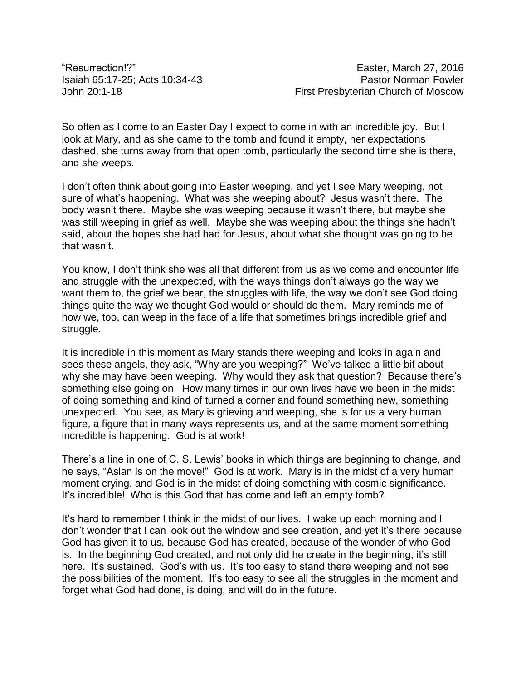So often as I come to an Easter Day I expect to come in with an incredible joy. But I look at Mary, and as she came to the tomb and found it empty, her expectations dashed, she turns away from that open tomb, particularly the second time she is there, and she weeps.

I don't often think about going into Easter weeping, and yet I see Mary weeping, not sure of what's happening. What was she weeping about? Jesus wasn't there. The body wasn't there. Maybe she was weeping because it wasn't there, but maybe she was still weeping in grief as well. Maybe she was weeping about the things she hadn't said, about the hopes she had had for Jesus, about what she thought was going to be that wasn't.

You know, I don't think she was all that different from us as we come and encounter life and struggle with the unexpected, with the ways things don't always go the way we want them to, the grief we bear, the struggles with life, the way we don't see God doing things quite the way we thought God would or should do them. Mary reminds me of how we, too, can weep in the face of a life that sometimes brings incredible grief and struggle.

It is incredible in this moment as Mary stands there weeping and looks in again and sees these angels, they ask, "Why are you weeping?" We've talked a little bit about why she may have been weeping. Why would they ask that question? Because there's something else going on. How many times in our own lives have we been in the midst of doing something and kind of turned a corner and found something new, something unexpected. You see, as Mary is grieving and weeping, she is for us a very human figure, a figure that in many ways represents us, and at the same moment something incredible is happening. God is at work!

There's a line in one of C. S. Lewis' books in which things are beginning to change, and he says, "Aslan is on the move!" God is at work. Mary is in the midst of a very human moment crying, and God is in the midst of doing something with cosmic significance. It's incredible! Who is this God that has come and left an empty tomb?

It's hard to remember I think in the midst of our lives. I wake up each morning and I don't wonder that I can look out the window and see creation, and yet it's there because God has given it to us, because God has created, because of the wonder of who God is. In the beginning God created, and not only did he create in the beginning, it's still here. It's sustained. God's with us. It's too easy to stand there weeping and not see the possibilities of the moment. It's too easy to see all the struggles in the moment and forget what God had done, is doing, and will do in the future.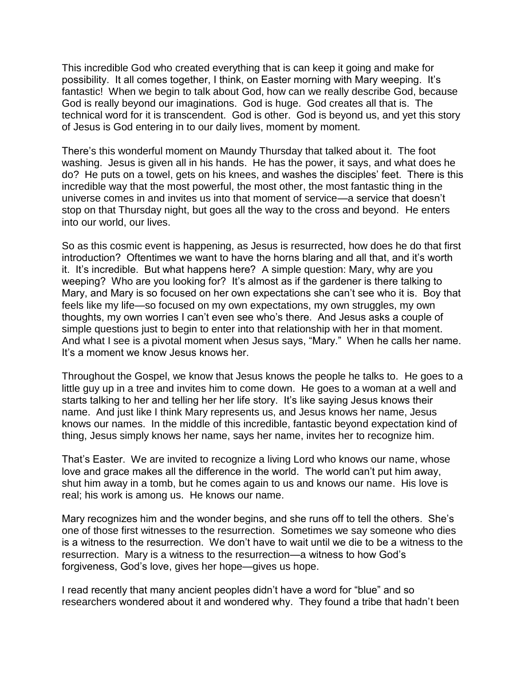This incredible God who created everything that is can keep it going and make for possibility. It all comes together, I think, on Easter morning with Mary weeping. It's fantastic! When we begin to talk about God, how can we really describe God, because God is really beyond our imaginations. God is huge. God creates all that is. The technical word for it is transcendent. God is other. God is beyond us, and yet this story of Jesus is God entering in to our daily lives, moment by moment.

There's this wonderful moment on Maundy Thursday that talked about it. The foot washing. Jesus is given all in his hands. He has the power, it says, and what does he do? He puts on a towel, gets on his knees, and washes the disciples' feet. There is this incredible way that the most powerful, the most other, the most fantastic thing in the universe comes in and invites us into that moment of service—a service that doesn't stop on that Thursday night, but goes all the way to the cross and beyond. He enters into our world, our lives.

So as this cosmic event is happening, as Jesus is resurrected, how does he do that first introduction? Oftentimes we want to have the horns blaring and all that, and it's worth it. It's incredible. But what happens here? A simple question: Mary, why are you weeping? Who are you looking for? It's almost as if the gardener is there talking to Mary, and Mary is so focused on her own expectations she can't see who it is. Boy that feels like my life—so focused on my own expectations, my own struggles, my own thoughts, my own worries I can't even see who's there. And Jesus asks a couple of simple questions just to begin to enter into that relationship with her in that moment. And what I see is a pivotal moment when Jesus says, "Mary." When he calls her name. It's a moment we know Jesus knows her.

Throughout the Gospel, we know that Jesus knows the people he talks to. He goes to a little guy up in a tree and invites him to come down. He goes to a woman at a well and starts talking to her and telling her her life story. It's like saying Jesus knows their name. And just like I think Mary represents us, and Jesus knows her name, Jesus knows our names. In the middle of this incredible, fantastic beyond expectation kind of thing, Jesus simply knows her name, says her name, invites her to recognize him.

That's Easter. We are invited to recognize a living Lord who knows our name, whose love and grace makes all the difference in the world. The world can't put him away, shut him away in a tomb, but he comes again to us and knows our name. His love is real; his work is among us. He knows our name.

Mary recognizes him and the wonder begins, and she runs off to tell the others. She's one of those first witnesses to the resurrection. Sometimes we say someone who dies is a witness to the resurrection. We don't have to wait until we die to be a witness to the resurrection. Mary is a witness to the resurrection—a witness to how God's forgiveness, God's love, gives her hope—gives us hope.

I read recently that many ancient peoples didn't have a word for "blue" and so researchers wondered about it and wondered why. They found a tribe that hadn't been